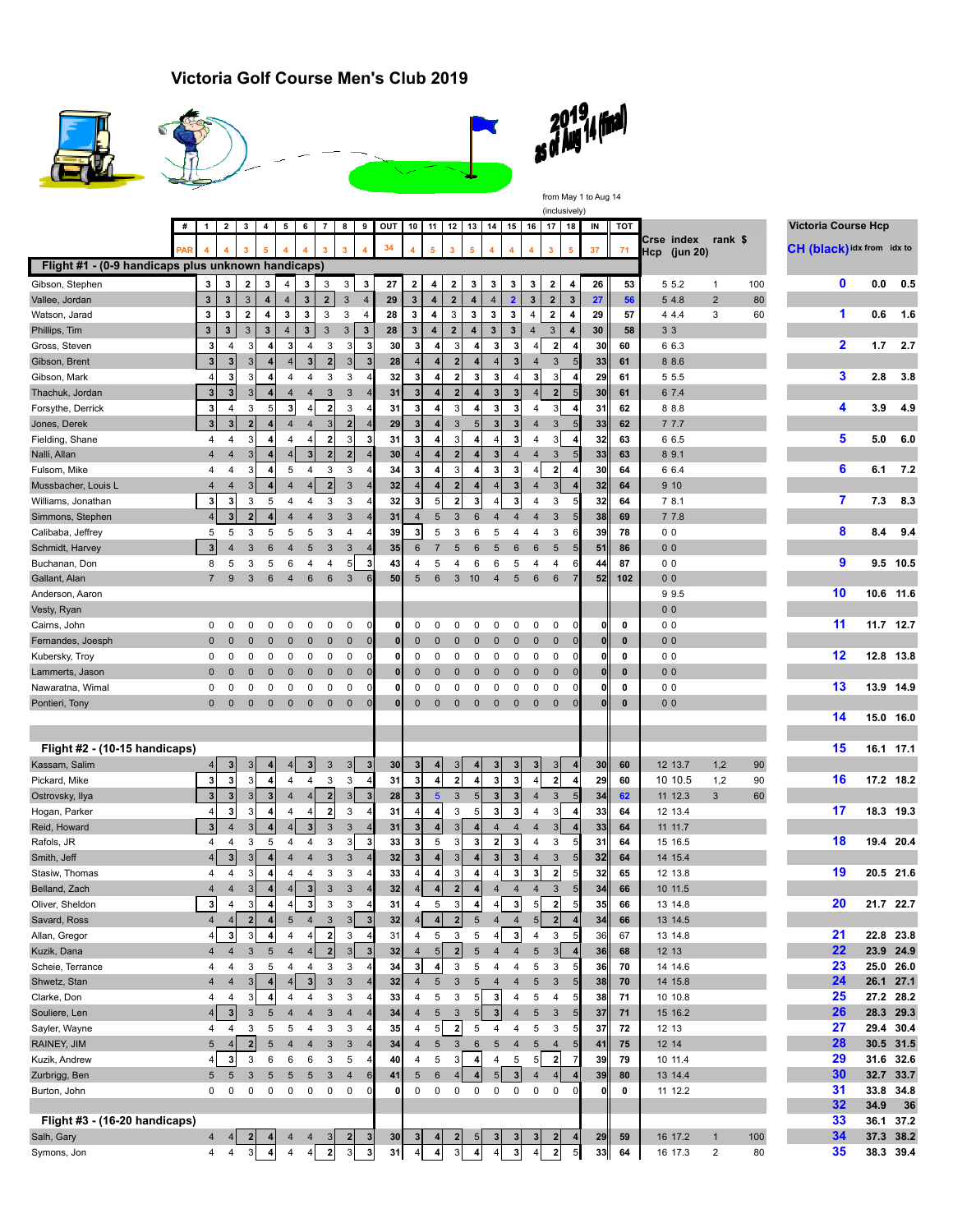## **Victoria Golf Course Men's Club 2019**



 $\overline{\phantom{a}}$ 







from May 1 to Aug 14

(inclusively)

|                                                    | # | $\mathbf{1}$            | 2 I            | 3 <sup>1</sup>      | 4 <sup>1</sup>          | $5 \t6 \t7$         |                              |                           |                           |                         | 8   9   OUT   10   11   12   13   14   15   16   17   18 |                              |                  |                         |                         |                              |                     |                     |                         |                | IN              | тот          |                            |                |     | <b>Victoria Course Hcp</b> |           |           |
|----------------------------------------------------|---|-------------------------|----------------|---------------------|-------------------------|---------------------|------------------------------|---------------------------|---------------------------|-------------------------|----------------------------------------------------------|------------------------------|------------------|-------------------------|-------------------------|------------------------------|---------------------|---------------------|-------------------------|----------------|-----------------|--------------|----------------------------|----------------|-----|----------------------------|-----------|-----------|
|                                                    |   |                         |                |                     |                         |                     |                              |                           |                           |                         | 34                                                       |                              | 5                |                         |                         |                              |                     |                     | $\overline{\mathbf{3}}$ |                | 37              | 71           | Crse index<br>Hcp (jun 20) | rank \$        |     | CH (black) idx from idx to |           |           |
| Flight #1 - (0-9 handicaps plus unknown handicaps) |   |                         |                |                     |                         |                     |                              |                           |                           |                         |                                                          |                              |                  |                         |                         |                              |                     |                     |                         |                |                 |              |                            |                |     |                            |           |           |
| Gibson, Stephen                                    |   | 3                       | 3              | $\boldsymbol{2}$    | 3                       | $\overline{4}$      | 3                            | 3                         | 3                         | 3                       | 27                                                       | $\bf{2}$                     | 4                | 2                       | 3                       | 3                            | 3                   | 3                   | 2                       | 4              | 26              | 53           | 5 5.2                      | 1              | 100 | $\mathbf 0$                | 0.0       | 0.5       |
| Vallee, Jordan                                     |   | 3                       | $\mathbf{3}$   | 3                   | 4                       | $\overline{4}$      | $\mathbf{3}$                 | $\mathbf{2}$              | $\mathbf{3}$              | $\overline{4}$          | 29                                                       | $\mathbf{3}$                 | 4                | $\mathbf 2$             | $\overline{\mathbf{4}}$ | 4                            | $\overline{2}$      | $\mathbf{3}$        | $\boldsymbol{2}$        | 3              | 27              | 56           | 5 4.8                      | $\overline{2}$ | 80  |                            |           |           |
| Watson, Jarad                                      |   | $\mathbf 3$             | 3              | $\mathbf{2}$        | 4                       | 3                   | 3                            | 3                         | 3                         | 4                       | 28                                                       | 3                            | 4                | 3                       | 3                       | 3                            | 3                   | $\overline{4}$      | $\mathbf{2}$            | 4              | 29              | 57           | 4 4.4                      | 3              | 60  | 1                          | 0.6       | 1.6       |
| Phillips, Tim                                      |   | $\mathbf 3$             | $\mathbf 3$    | 3                   | $\mathbf{3}$            | $\overline{4}$      | $\mathbf{3}$                 | $\mathbf{3}$              | $\ensuremath{\mathsf{3}}$ | $\mathbf{3}$            | 28                                                       | 3                            | $\overline{4}$   | $\overline{\mathbf{2}}$ | $\overline{\mathbf{4}}$ | $\mathbf 3$                  | $\mathbf 3$         | $\overline{4}$      | 3                       | $\overline{4}$ | 30              | 58           | 33                         |                |     |                            |           |           |
| Gross, Steven                                      |   | 3                       | 4              | 3                   | 4                       | 3 <sup>1</sup>      | 4                            | 3                         | 3                         | 3                       | 30                                                       | 3                            | 4                | 3                       | 4                       | 3                            | 3                   | 4                   | $\overline{\mathbf{2}}$ |                | 30              | 60           | 6 6.3                      |                |     | $\mathbf{2}$               | 1.7       | 2.7       |
| Gibson, Brent                                      |   | $\overline{\mathbf{3}}$ | 3 <sup>1</sup> | 3 <sup>1</sup>      | 4                       |                     | $\mathbf{3}$                 | $\mathbf 2$               | 3                         | $\mathbf{3}$            | 28                                                       | $\overline{4}$               |                  | $\mathbf{2}$            | 4                       | 4                            | 3                   | $\overline{4}$      | 3                       | 5              | 33              | 61           | 8 8.6                      |                |     |                            |           |           |
| Gibson, Mark                                       |   | $\overline{4}$          | 3              | 3                   | 4                       | 4                   | 4                            | 3                         | 3                         |                         | 32                                                       | $\mathbf{3}$                 | $\boldsymbol{4}$ | 2                       | 3                       | 3                            |                     | 3                   | 3                       | 4              | 29              | 61           | 5 5.5                      |                |     | 3                          | 2.8       | 3.8       |
| Thachuk, Jordan                                    |   | 3                       | 3              | 3                   |                         | $\overline{4}$      | $\overline{4}$               | $\mathbf{3}$              | 3                         |                         | 31                                                       | $\mathbf{3}$                 |                  | 2                       | 4                       | 3                            | 3                   | 4                   | $\overline{2}$          |                | 30              | 61           | 6 7.4                      |                |     |                            |           |           |
| Forsythe, Derrick                                  |   | 3                       | 4              | 3                   | 5                       | 3                   | $\overline{4}$               | $\mathbf 2$               | 3                         |                         | 31                                                       | 3                            | 4                | 3                       | 4                       | 3                            | 3                   | 4                   | 3                       |                | 31              | 62           | 8 8.8                      |                |     | 4                          | 3.9       | 4.9       |
| Jones, Derek                                       |   | 3 <sup>1</sup>          | 3              | $\mathbf{2}$        |                         | $\overline{4}$      | 4                            | $\mathbf{3}$              | 2 <sup>1</sup>            |                         | 29                                                       | $\mathbf{3}$                 |                  | 3                       | 5 <sup>1</sup>          | $\overline{\mathbf{3}}$      | 3                   | $\overline{4}$      | 3                       | 5              | 33              | 62           | 7 7.7                      |                |     |                            |           |           |
| Fielding, Shane                                    |   | 4                       | 4              | 3                   | 4                       | 4                   | $\overline{4}$               | $\mathbf 2$               | 3                         | 3                       | 31                                                       | 3                            | 4                | $\mathbf{3}$            | 4                       | $\overline{4}$               | 3                   | 4                   | 3                       | 4              | 32              | 63           | 6 6.5                      |                |     | 5                          | 5.0       | 6.0       |
| Nalli, Allan                                       |   | $\overline{4}$          | $\overline{4}$ | 3 <sup>1</sup>      |                         | $\overline{4}$      | $\mathbf{3}$                 | $\overline{\mathbf{2}}$   | $\overline{\mathbf{2}}$   |                         | 30                                                       | $\overline{4}$               |                  |                         | 4                       | 3                            | $\overline{4}$      | $\overline{4}$      | 3                       | 5              | 33              | 63           | 8 9.1                      |                |     |                            |           |           |
| Fulsom, Mike                                       |   | 4                       | 4              | 3                   | 4                       | 5                   | 4                            | 3                         | 3                         |                         | 34                                                       | 3                            | 4                | $\mathbf{3}$            | 4                       | 3                            | 3                   | 4                   | $\mathbf 2$             | 4              | 30              | 64           | 6 6.4                      |                |     | 6                          | 6.1       | 7.2       |
| Mussbacher, Louis L                                |   | $\overline{4}$          | $\overline{4}$ | 3 <sup>1</sup>      |                         | $\overline{4}$      | $\overline{4}$               | $\overline{2}$            | 3                         |                         | 32                                                       | $\overline{4}$               |                  | $\overline{2}$          | 4                       |                              | 3                   | $\overline{4}$      | 3                       |                | 32              | 64           | 910                        |                |     |                            |           |           |
| Williams, Jonathan                                 |   | 3                       | 3              | 3                   | 5                       | 4                   | $\overline{4}$               | 3                         | 3                         |                         | 32                                                       | 3                            | 5                | $\mathbf{2}$            | 3                       |                              | 3                   | $\overline{4}$      | 3                       |                | 32              | 64           | 7 8.1                      |                |     | 7                          | 7.3       | 8.3       |
| Simmons, Stephen                                   |   | $\vert 4 \vert$         | 3 <sup>1</sup> | $\mathbf{2}$        |                         | 4                   | 4                            | 3                         | 3                         |                         | 31                                                       | $\overline{4}$               | 5                | 3                       | 6                       | 4                            | 4                   | 4                   | 3                       |                | 38              | 69           | 7 7.8                      |                |     |                            |           |           |
| Calibaba, Jeffrey                                  |   | 5                       | 5              | 3                   | 5                       | 5                   | 5                            | 3                         | 4                         |                         | 39                                                       | $\mathbf{3}$                 | 5                | 3                       | 6                       | 5                            | 4                   | 4                   | 3                       | 6              | 39              | 78           | 0 <sub>0</sub>             |                |     | 8                          | 8.4       | 9.4       |
| Schmidt, Harvey                                    |   | $\overline{3}$          | 4              | 3                   | 6                       | $\overline{4}$      | 5                            | 3                         | 3                         | $\overline{4}$          | 35                                                       | 6                            | $\overline{7}$   | 5                       | 6                       | 5                            | 6                   | 6                   | 5                       | 5              | 51              | 86           | 0 <sub>0</sub>             |                |     |                            |           |           |
| Buchanan, Don                                      |   | 8                       | 5              | 3                   | 5                       | 6                   | 4                            | 4                         | 5 <sub>5</sub>            | 3                       | 43                                                       | 4                            | 5                | 4                       | 6                       | 6                            | 5                   | 4                   | 4                       |                | 44              | 87           | 0 <sub>0</sub>             |                |     | 9                          |           | 9.5 10.5  |
| Gallant, Alan                                      |   | $\overline{7}$          | 9              | 3                   | $6\phantom{1}6$         | $\overline{4}$      | 6                            | $\,6$                     | 3                         | 6                       | 50                                                       | 5                            | $6\phantom{1}6$  | 3                       | 10                      | $\overline{4}$               | 5                   | 6                   | $6\phantom{1}6$         |                | 52              | 102          | 0 <sub>0</sub>             |                |     |                            |           |           |
| Anderson, Aaron                                    |   |                         |                |                     |                         |                     |                              |                           |                           |                         |                                                          |                              |                  |                         |                         |                              |                     |                     |                         |                |                 |              | 99.5                       |                |     | 10                         | 10.6 11.6 |           |
| Vesty, Ryan                                        |   |                         |                |                     |                         |                     |                              |                           |                           |                         |                                                          |                              |                  |                         |                         |                              |                     |                     |                         |                |                 |              | 0 <sub>0</sub>             |                |     |                            |           |           |
| Cairns, John                                       |   | 0                       | 0              | 0                   | 0                       | 0                   | 0                            | 0                         | 0                         | $\mathbf 0$             | O                                                        | 0                            | 0                | 0                       | 0                       | 0                            | 0                   | 0                   | 0                       | 0              | o               | 0            | 0 <sub>0</sub>             |                |     | 11                         | 11.7 12.7 |           |
| Fernandes, Joesph                                  |   | $\mathbf 0$             | $\mathbf 0$    | 0                   | $\mathbf 0$             | $\mathbf 0$         | 0                            | $\mathbf 0$               | $\mathbf 0$               | $\mathbf{0}$            | 0                                                        | 0                            | $\mathbf 0$      | $\mathbf 0$             | $\mathbf 0$             | $\mathbf 0$                  | $\mathbf 0$         | 0                   | $\mathbf 0$             | 0              | $\mathbf{0}$    | $\mathbf{0}$ | 0 <sub>0</sub>             |                |     |                            |           |           |
| Kubersky, Troy                                     |   | 0                       | 0              | 0                   | 0                       | 0                   | 0                            | 0                         | 0                         | ŋ                       | 0                                                        | 0                            | 0                | 0                       | 0                       | 0                            | 0                   | 0                   | 0                       | 0              | 0               | 0            | 0 <sub>0</sub>             |                |     | 12                         | 12.8 13.8 |           |
| Lammerts, Jason                                    |   | $\mathbf 0$             | $\mathbf 0$    | $\mathbf{0}$        | $\mathbf 0$             | $\mathbf 0$         | $\mathbf 0$                  | $\pmb{0}$                 | $\mathbf 0$               | $\Omega$                | $\mathbf 0$                                              | 0                            | $\mathbf{0}$     | $\pmb{0}$               | $\pmb{0}$               | $\pmb{0}$                    | $\mathbf 0$         | $\pmb{0}$           | $\mathbf 0$             | $\mathbf 0$    | $\mathbf{0}$    | $\mathbf{0}$ | 0 <sub>0</sub>             |                |     |                            |           |           |
| Nawaratna, Wimal                                   |   | 0                       | 0              | 0                   | 0                       | 0                   | 0                            | 0                         | 0                         |                         |                                                          | 0                            | 0                | 0                       | 0                       | 0                            | 0                   | 0                   | $\Omega$                |                |                 | 0            | 0 <sub>0</sub>             |                |     | 13                         | 13.9 14.9 |           |
| Pontieri, Tony                                     |   | $\mathbf{0}$            | $\mathbf 0$    | $\mathbf 0$         | $\pmb{0}$               | $\mathbf 0$         | $\mathbf 0$                  | $\pmb{0}$                 | $\mathbf 0$               | $\mathbf{0}$            | 0                                                        | $\mathbf 0$                  | $\mathbf 0$      | $\mathbf 0$             | $\pmb{0}$               | $\pmb{0}$                    | $\mathbf 0$         | $\pmb{0}$           | $\mathbf 0$             | $\bf{0}$       | $\mathbf{0}$    | $\mathbf{0}$ | 0 <sub>0</sub>             |                |     |                            |           |           |
|                                                    |   |                         |                |                     |                         |                     |                              |                           |                           |                         |                                                          |                              |                  |                         |                         |                              |                     |                     |                         |                |                 |              |                            |                |     | 14                         | 15.0 16.0 |           |
|                                                    |   |                         |                |                     |                         |                     |                              |                           |                           |                         |                                                          |                              |                  |                         |                         |                              |                     |                     |                         |                |                 |              |                            |                |     |                            |           |           |
| Flight #2 - (10-15 handicaps)                      |   |                         |                |                     |                         |                     |                              |                           |                           |                         |                                                          |                              |                  |                         |                         |                              |                     |                     |                         |                |                 |              |                            |                |     | 15                         | 16.1 17.1 |           |
| Kassam, Salim                                      |   |                         | $\overline{3}$ | 3 <sup>1</sup>      |                         | 4 <sup>1</sup>      | $3\phantom{a}$               | $\sqrt{3}$                | 3                         | 3                       | 30                                                       | 3                            |                  | 3                       |                         |                              |                     | 3                   | 3                       |                | 30 <sub>l</sub> | 60           | 12 13.7                    | 1,2            | 90  |                            |           |           |
| Pickard, Mike                                      |   | 3                       | 3              | 3                   |                         | 4                   | 4                            | 3                         | 3                         |                         | 31                                                       | 3                            | 4                | $\mathbf{2}$            | 4                       | 3                            | 3                   |                     | $\overline{2}$          |                | 29              | 60           | 10 10.5                    | 1,2            | 90  | 16                         | 17.2 18.2 |           |
| Ostrovsky, Ilya                                    |   | $\mathbf 3$             | 3 <sup>1</sup> | 3 <sup>1</sup>      | $\mathbf{3}$            | $\overline{4}$      | $\overline{4}$               | $\mathbf{2}$              | 3                         | 3                       | 28                                                       | 3                            | $5\phantom{1}$   | 3                       | 5                       | 3                            | 3 <sup>5</sup>      | $\overline{4}$      | 3                       | 5              | 34              | 62           | 11 12.3                    | 3              | 60  |                            |           |           |
| Hogan, Parker                                      |   | 4                       | 3              | 3                   |                         | 4                   | 4<br>$\overline{\mathbf{3}}$ | $\mathbf 2$               | 3                         |                         | 31                                                       | $\overline{4}$               | 4                | 3                       | 5 <sub>5</sub>          | 3                            | 3                   | 4                   | 3                       | 4              | 33              | 64           | 12 13.4                    |                |     | 17                         | 18.3 19.3 |           |
| Reid, Howard                                       |   | $\mathbf{3}$<br>4       | 4<br>4         | 3 <sup>1</sup><br>3 | 5                       | 4 <sup>1</sup><br>4 | 4                            | $\sqrt{3}$                | $\mathbf{3}$<br>3         | 3                       | 31                                                       | $\mathbf{3}$<br>$\mathbf{3}$ | 5                | 3 <sup>1</sup><br>31    | 4<br>3                  | 4<br>$\overline{\mathbf{2}}$ | $\overline{4}$<br>3 | $\overline{4}$      | 3                       | 5              | 33              | 64           | 11 11.7                    |                |     | 18                         | 19.4 20.4 |           |
| Rafols, JR                                         |   | $\overline{4}$          | 3 <sup>1</sup> | 3 <sup>1</sup>      |                         | $\overline{4}$      | $\overline{4}$               | 3<br>$\mathbf{3}$         | $\mathbf{3}$              | $\overline{4}$          | 33<br>32                                                 | 3                            |                  | 3 <sup>1</sup>          | $\overline{\mathbf{4}}$ | $\mathbf{3}$                 | 3                   | 4<br>$\overline{4}$ | 3<br>3                  | 5              | 31<br>32        | 64<br>64     | 15 16.5<br>14 15.4         |                |     |                            |           |           |
| Smith, Jeff<br>Stasiw, Thomas                      |   | 4                       | 4              | 3                   | 4                       | 4                   | 4                            | 3                         | 3                         |                         | 33                                                       | 4                            | 4                | $\mathbf{3}$            | 4                       | $\overline{4}$               | 3                   | 3 <sup>1</sup>      | $\mathbf 2$             |                | 32              | 65           | 12 13.8                    |                |     | 19                         | 20.5 21.6 |           |
| Belland, Zach                                      |   | $\overline{4}$          | $\overline{4}$ | 3 <sup>1</sup>      | 4                       | 4                   | $\mathbf{3}$                 | $\sqrt{3}$                | 3                         |                         | 32                                                       |                              | $\boldsymbol{4}$ | 2 <sup>1</sup>          | $\vert$                 | $\overline{4}$               | $\overline{4}$      | $\overline{4}$      | 3                       | 5              | 34              | 66           | 10 11.5                    |                |     |                            |           |           |
| Oliver, Sheldon                                    |   | 3                       | $\overline{4}$ | $\mathbf{3}$        | 4                       | $\overline{4}$      | $\mathbf 3$                  | $\sqrt{3}$                | 3                         | 4                       | 31                                                       | 4                            | 5                | 3 <sup>1</sup>          | $\overline{\mathbf{r}}$ | 4                            | $\mathbf{3}$        | $5\overline{)}$     | $\mathbf 2$             | 5              | 35              | 66           | 13 14.8                    |                |     | 20                         | 21.7 22.7 |           |
| Savard, Ross                                       |   | $\overline{4}$          | 4              | $\mathbf{2}$        | $\overline{4}$          | $\sqrt{5}$          | $\overline{4}$               | $\mathsf 3$               | 3 <sup>1</sup>            | $\overline{\mathbf{3}}$ | 32                                                       | $\mathbf{A}$                 | $\mathbf{A}$     | $\mathbf{z}$            |                         | $5 \quad 4$                  | $\overline{4}$      | 51                  | 2 <sup>1</sup>          |                | 34              | 66           | 13 14.5                    |                |     |                            |           |           |
| Allan, Gregor                                      |   | 4                       | 3              | $\mathbf{3}$        | 4                       | 4                   | 4                            | 2                         | 3                         | 4                       | 31                                                       | 4                            | 5                | 3                       | 5                       | 4                            | $\mathbf{3}$        | 4                   | 3                       | 5              | 36              | 67           | 13 14.8                    |                |     | 21                         | 22.8 23.8 |           |
| Kuzik, Dana                                        |   | 4                       | $\overline{4}$ | $\mathbf{3}$        | $\mathbf 5$             | 4                   | $\overline{4}$               | $\mathbf 2$               | 3                         | 3                       | 32                                                       | 4                            | $5\phantom{.0}$  | 2 <sup>1</sup>          | $\sqrt{5}$              | $\overline{4}$               | $\overline{4}$      | $\sqrt{5}$          | 3 <sup>1</sup>          |                | 36              | 68           | 12 13                      |                |     | 22                         | 23.9 24.9 |           |
| Scheie, Terrance                                   |   | 4                       | 4              | 3                   | 5                       | 4                   | 4                            | 3                         | 3                         |                         | 34                                                       | 3                            | 4                | 3                       | 5                       | 4                            | 4                   | 5                   | 3                       |                | 36              | 70           | 14 14.6                    |                |     | 23                         | 25.0 26.0 |           |
| Shwetz, Stan                                       |   | 4                       | 4              | 3 <sup>1</sup>      | $\overline{\mathbf{4}}$ | 4 <sup>1</sup>      | 3                            | $\sqrt{3}$                | 3                         |                         | 32                                                       | 4                            | $\sqrt{5}$       | 3                       | 5                       | $\overline{4}$               | 4                   | $5\phantom{.0}$     | 3                       | 5              | 38              | 70           | 14 15.8                    |                |     | 24                         | 26.1 27.1 |           |
| Clarke, Don                                        |   | 4                       | 4              | 3                   | 4                       | 4                   | 4                            | 3                         | 3                         |                         | 33                                                       | 4                            | 5                | 3                       | 5 <sub>5</sub>          | 3                            | 4                   | 5                   | 4                       |                | 38              | 71           | 10 10.8                    |                |     | 25                         | 27.2 28.2 |           |
| Souliere, Len                                      |   | 4 <sup>1</sup>          | 3 <sup>1</sup> | $\mathbf{3}$        | 5                       | $\overline{4}$      | 4                            | 3                         | 4                         |                         | 34                                                       |                              | $\sqrt{5}$       | 3                       | 5 <sub>5</sub>          | $\mathbf{3}$                 | 4                   | $\sqrt{5}$          | 3                       |                | 37              | 71           | 15 16.2                    |                |     | 26                         | 28.3 29.3 |           |
| Sayler, Wayne                                      |   | 4                       | 4              | 3                   | 5                       | 5                   | 4                            | 3                         | 3                         |                         | 35                                                       | 4                            | 5                | 2                       | 5                       | 4                            | 4                   | 5                   | 3                       |                | 37              | 72           | 12 13                      |                |     | 27                         | 29.4 30.4 |           |
| RAINEY, JIM                                        |   | 5                       | 4 <sup>1</sup> | $\mathbf{2}$        | 5                       | $\overline{4}$      | 4                            | $\ensuremath{\mathsf{3}}$ | $\mathbf{3}$              |                         | 34                                                       | 4                            | $\sqrt{5}$       | $\sqrt{3}$              | $6\phantom{1}$          | $\sqrt{5}$                   | 4                   | 5                   | $\overline{4}$          |                | 41              | 75           | 12 14                      |                |     | 28                         | 30.5 31.5 |           |
| Kuzik, Andrew                                      |   | $\vert$                 | 3              | 3                   | 6                       | 6                   | 6                            | 3                         | 5                         |                         | 40                                                       | 4                            | 5                | 3                       | 4                       | 4                            | 5                   | 5 <sub>5</sub>      | $\mathbf{2}$            |                | 39              | 79           | 10 11.4                    |                |     | 29                         | 31.6 32.6 |           |
| Zurbrigg, Ben                                      |   | 5                       | 5              | 3                   | 5                       | 5                   | $\sqrt{5}$                   | 3                         | $\overline{4}$            | 6                       | 41                                                       | 5                            | 6                | $\vert 4 \vert$         |                         | 5 <sub>5</sub>               | 3 <sup>1</sup>      | $\overline{4}$      |                         |                | 39              | 80           | 13 14.4                    |                |     | 30                         | 32.7 33.7 |           |
| Burton, John                                       |   | 0                       | 0              | 0                   | 0                       | 0                   | 0                            | 0                         | 0                         |                         |                                                          | 0                            | 0                | 0                       | 0                       | 0                            | 0                   | 0                   | 0                       |                | 0               | 0            | 11 12.2                    |                |     | 31                         | 33.8 34.8 |           |
|                                                    |   |                         |                |                     |                         |                     |                              |                           |                           |                         |                                                          |                              |                  |                         |                         |                              |                     |                     |                         |                |                 |              |                            |                |     | 32                         | 34.9      | 36        |
| Flight #3 - (16-20 handicaps)                      |   |                         |                |                     |                         |                     |                              |                           |                           |                         |                                                          |                              |                  |                         |                         |                              |                     |                     |                         |                |                 |              |                            |                |     | 33                         | 36.1 37.2 |           |
| Salh, Gary                                         |   | 4                       |                | $\mathbf{2}$        |                         |                     |                              | $\vert 3 \vert$           | $\mathbf{2}$              | $\vert$ <sup>3</sup>    | 30                                                       | 3                            |                  | 2                       | $\vert 5 \vert$         | 3                            |                     |                     |                         |                | 29              | 59           | 16 17.2                    | 1              | 100 | 34                         | 37.3 38.2 |           |
| Symons, Jon                                        |   |                         | $4 \quad 4$    | $\overline{3}$      |                         |                     | $\overline{4}$               | $\overline{2}$            |                           | $\mathbf{3}$            | 31                                                       | $\overline{4}$               |                  |                         |                         |                              |                     |                     |                         |                | 33              | 64           | 16 17.3                    | 2              | 80  | 35                         |           | 38.3 39.4 |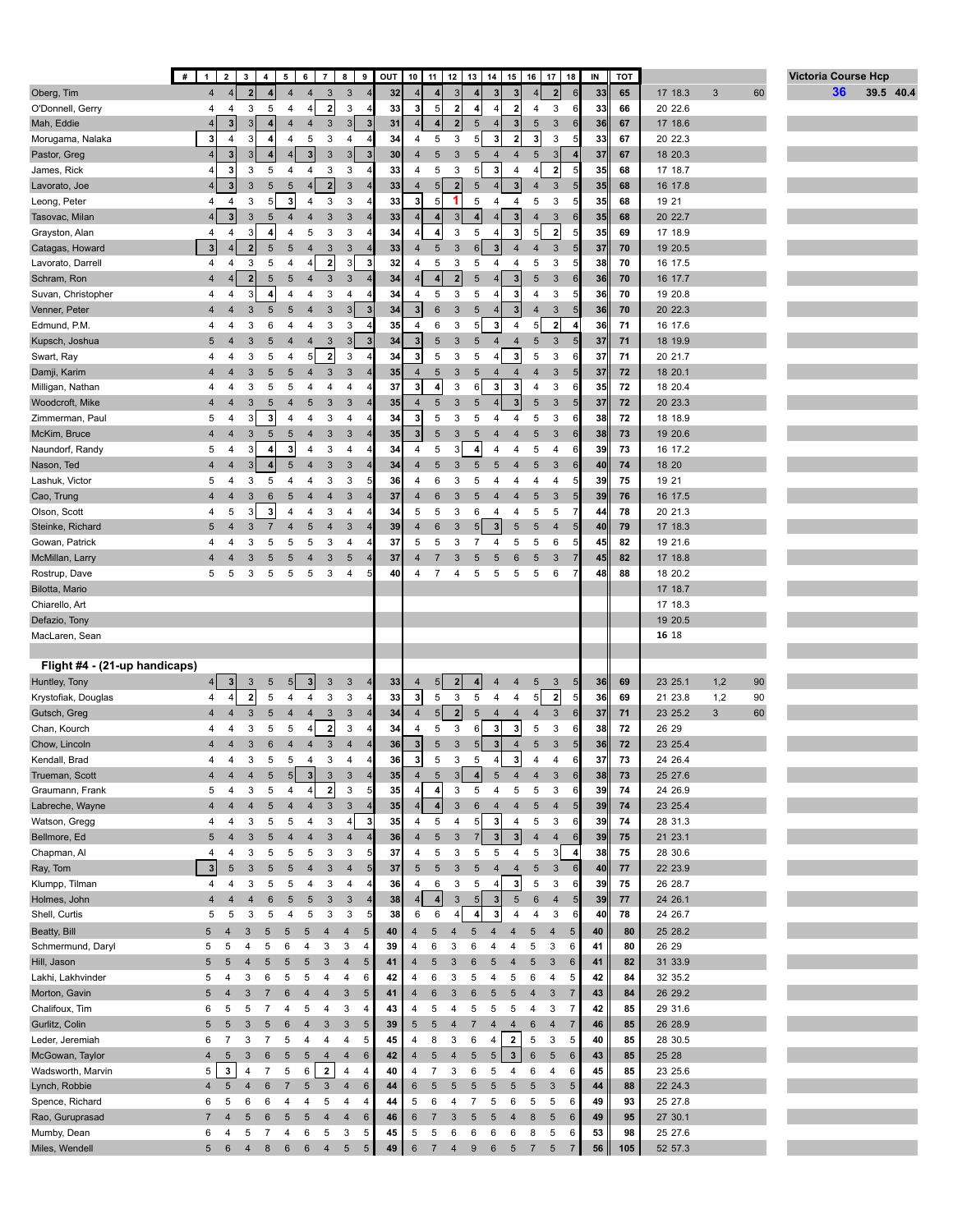|                                  | #                       | $1 \mid 2 \mid$         | 3 <sup>1</sup>          |                 | $4 \mid 5 \mid 6$ |                         |                           | 789                              | OUT |                         |                         |                         |                         | 10   11   12   13   14   15 |                         |                     | $16$ 17 18                        | IN | TOT |                    |            |    | <b>Victoria Course Hcp</b> |    |           |  |
|----------------------------------|-------------------------|-------------------------|-------------------------|-----------------|-------------------|-------------------------|---------------------------|----------------------------------|-----|-------------------------|-------------------------|-------------------------|-------------------------|-----------------------------|-------------------------|---------------------|-----------------------------------|----|-----|--------------------|------------|----|----------------------------|----|-----------|--|
| Oberg, Tim                       | $\overline{4}$          | $\overline{\mathbf{4}}$ | $\overline{2}$          |                 | 4                 | $\overline{4}$          | $\mathbf{3}$              | $\mathbf{3}$                     | 32  | $\overline{4}$          | $\overline{4}$          | 3                       |                         | 3 <sup>1</sup>              | 3                       |                     | 2<br>6                            | 33 | 65  | 17 18.3            | $\sqrt{3}$ | 60 |                            | 36 | 39.5 40.4 |  |
| O'Donnell, Gerry                 | 4                       | 4                       | 3                       | 5               | 4                 | $\overline{4}$          | $\boldsymbol{2}$          | 3                                | 33  | $\mathbf{3}$            | 5                       | $\overline{\mathbf{2}}$ | 4                       |                             | $\overline{\mathbf{2}}$ | 4                   | 3<br>6                            | 33 | 66  | 20 22.6            |            |    |                            |    |           |  |
| Mah, Eddie                       |                         | 3                       | 3                       |                 | 4                 | $\overline{4}$          | $\ensuremath{\mathsf{3}}$ | 3<br>$\overline{\mathbf{3}}$     | 31  | $\overline{4}$          | $\vert$                 | $\overline{\mathbf{2}}$ | 5                       | 4 <sup>1</sup>              | 3                       | 5                   | 3<br>6                            | 36 | 67  | 17 18.6            |            |    |                            |    |           |  |
| Morugama, Nalaka                 | 3                       | $\overline{4}$          | 3                       | 4               | 4                 | $\sqrt{5}$              | 3                         | 4<br>$\overline{4}$              | 34  | $\overline{4}$          | 5                       | 3                       | 5                       | 3                           | $\overline{\mathbf{2}}$ | 3                   | 3<br>5                            | 33 | 67  | 20 22.3            |            |    |                            |    |           |  |
| Pastor, Greg                     | 4 <sup>1</sup>          | 3 <sup>1</sup>          | 3                       |                 | $\overline{4}$    | $\overline{\mathbf{3}}$ | 3                         | 3 <br>$\mathbf{3}$               | 30  | $\overline{4}$          | 5                       | $\sqrt{3}$              | 5                       | $\overline{4}$              | 4                       | $\sqrt{5}$          | 3 <sup>1</sup>                    | 37 | 67  | 18 20.3            |            |    |                            |    |           |  |
| James, Rick                      |                         | $\mathbf{3}$            | 3                       | 5               | 4                 | 4                       | 3                         | 3<br>$\overline{4}$              | 33  | 4                       | 5                       | 3                       | 5 <sup>5</sup>          | 3                           | $\overline{4}$          | $\overline{4}$      | $\mathbf{2}$<br>5                 | 35 | 68  | 17 18.7            |            |    |                            |    |           |  |
| Lavorato, Joe                    | 4 <sup>1</sup>          | $\mathbf{3}$            | 3                       | 5               | $\sqrt{5}$        | $\overline{4}$          | 2                         | $\sqrt{3}$                       | 33  | $\overline{4}$          | 5 <sup>1</sup>          | $\overline{2}$          | 5                       | 4 <sup>1</sup>              | $\overline{\mathbf{3}}$ | $\overline{4}$      | 3<br>5                            | 35 | 68  | 16 17.8            |            |    |                            |    |           |  |
| Leong, Peter                     | 4                       | 4                       | 3                       | 5 <sub>l</sub>  | 3                 | 4                       | 3                         | 3                                | 33  | $\mathbf{3}$            | 5                       | 1                       | 5                       | 4                           | 4                       | 5                   | 3<br>5                            | 35 | 68  | 19 21              |            |    |                            |    |           |  |
| Tasovac, Milan                   |                         | 3 <sup>1</sup>          | 3                       | 5               | $\overline{4}$    | $\overline{4}$          | 3                         | $\mathbf{3}$                     | 33  | $\overline{4}$          | $\vert$                 | $\sqrt{3}$              | $\overline{4}$          | 4 <sup>1</sup>              | $\mathbf{3}$            | $\overline{4}$      | 3<br>6                            | 35 | 68  | 20 22.7            |            |    |                            |    |           |  |
| Grayston, Alan                   | 4                       | 4                       | 3                       | 4               | 4                 | 5                       | 3                         | 3                                | 34  | 4                       | 4                       | 3                       | 5                       | $\vert$                     | $\overline{\mathbf{3}}$ | 5                   | $\overline{\mathbf{2}}$<br>5      | 35 | 69  | 17 18.9            |            |    |                            |    |           |  |
| Catagas, Howard                  | 3 <sup>1</sup>          | $\vert 4 \vert$         | $\overline{\mathbf{2}}$ | 5               | $\sqrt{5}$        | $\overline{4}$          | 3                         | 3                                | 33  | $\overline{4}$          | $\sqrt{5}$              | $\mathbf{3}$            | $6\phantom{1}6$         | 3 <sup>1</sup>              | $\overline{4}$          | $\overline{4}$      | 3<br>5                            | 37 | 70  | 19 20.5            |            |    |                            |    |           |  |
| Lavorato, Darrell                | 4                       | 4                       | 3                       | 5               | $\overline{4}$    | 4                       | $\mathbf{2}$              | 3<br>3                           | 32  | 4                       | 5                       | 3                       | 5                       | 4                           | 4                       | 5                   | 3<br>5                            | 38 | 70  | 16 17.5            |            |    |                            |    |           |  |
| Schram, Ron                      | $\overline{4}$          | 4 <sup>1</sup>          | $\overline{2}$          | 5               | $\sqrt{5}$        | $\overline{4}$          | 3                         | 3                                | 34  | $\overline{4}$          | 4                       | $\overline{2}$          | 5                       | 4 <sup>1</sup>              | $\mathbf{3}$            | 5                   | $\mathbf{3}$<br>6                 | 36 | 70  | 16 17.7            |            |    |                            |    |           |  |
| Suvan, Christopher               | 4                       | 4                       | 3                       | 4               | $\overline{4}$    | 4                       | 3                         | 4                                | 34  | $\overline{4}$          | 5                       | 3                       | 5                       | 4                           | 3                       | 4                   | 3<br>5                            | 36 | 70  | 19 20.8            |            |    |                            |    |           |  |
| Venner, Peter                    | $\overline{4}$          | $\overline{4}$          | 3                       | 5               | 5                 | $\overline{4}$          | 3                         | 3 <br>3                          | 34  | $\mathbf{3}$            | $6\phantom{1}$          | $\mathbf{3}$            | 5                       | $\overline{4}$              | 3                       | $\overline{4}$      | $\mathbf{3}$<br>5                 | 36 | 70  | 20 22.3            |            |    |                            |    |           |  |
| Edmund, P.M.                     | 4                       | 4                       | 3                       | 6               | 4                 | 4                       | 3                         | 3<br>$\overline{4}$              | 35  | $\overline{4}$          | 6                       | 3                       | 5 <sup>1</sup>          | 3                           | $\overline{4}$          | 5                   | $\overline{2}$<br>4               | 36 | 71  | 16 17.6            |            |    |                            |    |           |  |
| Kupsch, Joshua                   | 5                       | 4                       | $\sqrt{3}$              | 5               | $\overline{4}$    | $\overline{4}$          | $\sqrt{3}$                | 3<br>$\overline{\mathbf{3}}$     | 34  | $\mathbf{3}$            | 5                       | $\sqrt{3}$              | $\sqrt{5}$              | $\overline{4}$              | $\overline{4}$          | $\sqrt{5}$          | $\mathbf{3}$<br>5                 | 37 | 71  | 18 19.9            |            |    |                            |    |           |  |
| Swart, Ray                       | 4                       | 4                       | 3                       | 5               | 4                 | 5                       | $\mathbf{2}$              | 3                                | 34  | 3                       | 5                       | 3                       | 5                       | 4                           | 3                       | 5                   | 3<br>6                            | 37 | 71  | 20 21.7            |            |    |                            |    |           |  |
| Damji, Karim                     | $\overline{4}$          | $\overline{4}$          | 3                       | 5               | 5                 | $\overline{4}$          | 3                         | $\mathbf{3}$                     | 35  | $\overline{4}$          | 5                       | $\mathbf{3}$            | 5                       | 4                           | $\overline{4}$          | $\overline{4}$      | 3<br>5                            | 37 | 72  | 18 20.1            |            |    |                            |    |           |  |
| Milligan, Nathan                 | 4                       | 4                       | 3                       | 5               | 5                 | $\overline{4}$          | 4                         | 4                                | 37  | $\mathbf{3}$            | $\overline{\mathbf{4}}$ | 3                       | 6                       | 3 <sup>1</sup>              | 3                       | 4                   | 3<br>6                            | 35 | 72  | 18 20.4            |            |    |                            |    |           |  |
| Woodcroft, Mike                  | $\overline{4}$          | 4                       | $\mathbf{3}$            | 5               | $\overline{4}$    | 5                       | 3                         | 3<br>$\overline{4}$              | 35  | $\overline{4}$          | 5                       | $\mathbf{3}$            | $\overline{5}$          |                             | 3                       | 5                   | 3<br>5                            | 37 | 72  | 20 23.3            |            |    |                            |    |           |  |
| Zimmerman, Paul                  | 5                       | 4                       | 3                       | 3               | $\overline{4}$    | 4                       | 3                         | $\overline{4}$                   | 34  | $\overline{\mathbf{3}}$ | 5                       | 3                       | 5                       | 4                           | 4                       | 5                   | 3<br>6                            | 38 | 72  | 18 18.9            |            |    |                            |    |           |  |
| McKim, Bruce                     | $\overline{4}$          | $\overline{4}$          | $\sqrt{3}$              | 5               | $\sqrt{5}$        | $\overline{4}$          | 3                         | 3                                | 35  | $\mathbf{3}$            | 5                       | $\sqrt{3}$              | 5                       | $\overline{4}$              | $\overline{\mathbf{4}}$ | $\sqrt{5}$          | 3<br>6                            | 38 | 73  | 19 20.6            |            |    |                            |    |           |  |
| Naundorf, Randy                  | 5                       | 4                       | 3                       | $\overline{4}$  | $\mathbf{3}$      | 4                       | 3                         | 4                                | 34  | $\overline{4}$          | 5                       | 3                       | 4                       | $\overline{4}$              | 4                       | $\sqrt{5}$          | 4<br>6                            | 39 | 73  | 16 17.2            |            |    |                            |    |           |  |
| Nason, Ted                       | $\overline{4}$          | $\overline{4}$          | 3                       | 4               | $5\phantom{.0}$   | $\overline{4}$          | 3                         | 3                                | 34  | $\overline{4}$          | 5                       | $\mathbf{3}$            | 5                       | 5                           | $\overline{4}$          | 5                   | 3<br>6                            | 40 | 74  | 18 20              |            |    |                            |    |           |  |
| Lashuk, Victor                   | 5                       | 4                       | 3                       | 5               | 4                 | 4                       | 3                         | 3                                | 36  | $\overline{4}$          | 6                       | 3                       | 5                       | 4                           | 4                       | $\overline{4}$      | 4<br>5                            | 39 | 75  | 19 21              |            |    |                            |    |           |  |
| Cao, Trung                       | $\overline{4}$          | 4                       | 3                       | $6\phantom{1}$  | 5                 | $\overline{4}$          | 4                         | $\mathbf{3}$                     | 37  | $\overline{4}$          | $6\phantom{1}$          | $\mathbf{3}$            | 5                       | $\overline{4}$              | $\overline{4}$          | 5                   | 3<br>5                            | 39 | 76  | 16 17.5            |            |    |                            |    |           |  |
| Olson, Scott                     | 4                       | 5                       | 3                       | 3               | 4                 | 4                       | 3                         | 4                                | 34  | 5                       | 5                       | 3                       | 6                       | 4                           | 4                       | 5                   | 5                                 | 44 | 78  | 20 21.3            |            |    |                            |    |           |  |
| Steinke, Richard                 | 5                       | $\overline{4}$          | $\sqrt{3}$              | $\overline{7}$  | $\overline{4}$    | $\sqrt{5}$              | 4                         | $\mathbf{3}$                     | 39  | $\overline{4}$          | $6\phantom{1}6$         | $\sqrt{3}$              | 5 <sup>5</sup>          | 3 <sup>1</sup>              | $\sqrt{5}$              | $\sqrt{5}$          | $\overline{4}$<br>5               | 40 | 79  | 17 18.3            |            |    |                            |    |           |  |
| Gowan, Patrick                   | 4                       | 4                       | 3                       | 5               | 5                 | 5                       | 3                         | 4                                | 37  | 5                       | 5                       | 3                       | $\overline{7}$          | 4                           | 5                       | 5                   | 6                                 | 45 | 82  | 19 21.6            |            |    |                            |    |           |  |
| McMillan, Larry                  | $\overline{4}$          | 4                       | 3                       | 5               | $\sqrt{5}$        | $\overline{4}$<br>5     | 3                         | 5                                | 37  | $\overline{4}$          |                         | 3                       | 5<br>5                  | 5                           | 6<br>5                  | 5<br>5              | 3                                 | 45 | 82  | 17 18.8            |            |    |                            |    |           |  |
| Rostrup, Dave                    | 5                       | $\sqrt{5}$              | 3                       | 5               | $\,$ 5 $\,$       |                         | 3                         | 4                                | 40  | 4                       |                         | 4                       |                         | 5                           |                         |                     | 6                                 | 48 | 88  | 18 20.2            |            |    |                            |    |           |  |
| Bilotta, Mario<br>Chiarello, Art |                         |                         |                         |                 |                   |                         |                           |                                  |     |                         |                         |                         |                         |                             |                         |                     |                                   |    |     | 17 18.7<br>17 18.3 |            |    |                            |    |           |  |
| Defazio, Tony                    |                         |                         |                         |                 |                   |                         |                           |                                  |     |                         |                         |                         |                         |                             |                         |                     |                                   |    |     | 19 20.5            |            |    |                            |    |           |  |
| MacLaren, Sean                   |                         |                         |                         |                 |                   |                         |                           |                                  |     |                         |                         |                         |                         |                             |                         |                     |                                   |    |     | 16 18              |            |    |                            |    |           |  |
|                                  |                         |                         |                         |                 |                   |                         |                           |                                  |     |                         |                         |                         |                         |                             |                         |                     |                                   |    |     |                    |            |    |                            |    |           |  |
| Flight #4 - (21-up handicaps)    |                         |                         |                         |                 |                   |                         |                           |                                  |     |                         |                         |                         |                         |                             |                         |                     |                                   |    |     |                    |            |    |                            |    |           |  |
| Huntley, Tony                    | 4                       | 3                       | $\sqrt{3}$              | 5               | 5                 | 3                       | 3                         | $\mathbf{3}$                     | 33  | $\overline{4}$          | 5 <sup>1</sup>          | $\mathbf 2$             |                         | 4                           | 4                       | $\overline{5}$      | 3<br>5                            | 36 | 69  | 23 25.1            | 1,2        | 90 |                            |    |           |  |
| Krystofiak, Douglas              | 4                       | $\vert 4 \vert$         | $\overline{\mathbf{2}}$ | 5               | 4                 | 4                       | 3                         | 3                                | 33  | $\mathbf{3}$            | 5                       | $\mathsf 3$             | 5                       | $\overline{4}$              | 4                       | 5                   | $\mathbf{2}$<br>5                 | 36 | 69  | 21 23.8            | 1,2        | 90 |                            |    |           |  |
| Gutsch, Greg                     | $\overline{4}$          | $\overline{\mathbf{4}}$ | $\sqrt{3}$              | 5               | $\overline{4}$    | $\overline{4}$          | 3                         | $\mathbf{3}$                     | 34  | $\overline{4}$          | 5                       | $\overline{2}$          | 5                       | $\overline{4}$              | $\overline{\mathbf{4}}$ | $\overline{4}$      | $\mathbf{3}$<br>6                 | 37 | 71  | 23 25.2            | 3          | 60 |                            |    |           |  |
| Chan, Kourch                     | 4                       | $\overline{4}$          | 3                       | 5               | 5                 |                         | $\overline{2}$            | 3                                | 34  | $\overline{4}$          | 5                       | 3                       | 6                       | 3                           | 3                       | 5                   | 3<br>6                            | 38 | 72  | 26 29              |            |    |                            |    |           |  |
| Chow, Lincoln                    | $\overline{\mathbf{4}}$ | $\overline{4}$          | 3                       | $6\overline{6}$ | $\overline{4}$    | $\overline{4}$          | 3                         | $\overline{4}$                   | 36  | $\mathbf{3}$            | 5                       | 3                       | 5 <sub>5</sub>          | 3 <sup>1</sup>              | $\overline{4}$          | 5                   | 3<br>5                            | 36 | 72  | 23 25.4            |            |    |                            |    |           |  |
| Kendall, Brad                    | 4                       | 4                       | 3                       | 5               | 5                 | $\overline{4}$          | 3                         | $\overline{4}$<br>$\overline{4}$ | 36  | 3                       | 5                       | 3                       | 5                       | 4 <sup>1</sup>              | $\overline{\mathbf{3}}$ | $\overline{4}$      | 4<br>6                            | 37 | 73  | 24 26.4            |            |    |                            |    |           |  |
| Trueman, Scott                   | 4                       | $\overline{4}$          | 4                       | 5               | 5                 | $\mathbf{3}$            | $\mathbf{3}$              | $\mathbf{3}$<br>$\overline{4}$   | 35  | $\overline{4}$          | 5                       | 3                       | 4                       | 5                           | 4                       | $\overline{4}$      | $\mathbf{3}$<br>$\,6$             | 38 | 73  | 25 27.6            |            |    |                            |    |           |  |
| Graumann, Frank                  | 5                       | 4                       | 3                       | 5               | 4                 | $\overline{4}$          | $\mathbf 2$               | 3                                | 35  | 4                       | 4                       | 3                       | 5                       | 4                           | 5                       | $\sqrt{5}$          | 3<br>6                            | 39 | 74  | 24 26.9            |            |    |                            |    |           |  |
| Labreche, Wayne                  | $\overline{\mathbf{4}}$ | 4                       | $\overline{4}$          |                 | 4                 | $\overline{4}$          | $\ensuremath{\mathsf{3}}$ | $\mathbf{3}$                     | 35  | $\overline{4}$          | 4                       | $\mathbf{3}$            | $6\phantom{1}6$         | $\overline{4}$              | $\overline{\mathbf{4}}$ | 5                   | $\overline{4}$<br>5               | 39 | 74  | 23 25.4            |            |    |                            |    |           |  |
| Watson, Gregg                    | 4                       | 4                       | 3                       | 5               | $\,$ 5 $\,$       | 4                       | 3                         | $\overline{4}$<br>3              | 35  | 4                       | 5                       | $\overline{\mathbf{4}}$ | 5 <sup>1</sup>          | 3                           | $\overline{4}$          | 5                   | 3<br>6                            | 39 | 74  | 28 31.3            |            |    |                            |    |           |  |
| Bellmore, Ed                     | 5                       | $\overline{4}$          | $\mathbf{3}$            | 5               | $\overline{4}$    | $\overline{4}$          | $\sqrt{3}$                | $\overline{4}$                   | 36  | $\overline{4}$          | $\sqrt{5}$              | $\sqrt{3}$              | $\overline{7}$          | 3 <sup>1</sup>              | $\overline{\mathbf{3}}$ | $\overline{4}$      | $\overline{4}$<br>6               | 39 | 75  | 21 23.1            |            |    |                            |    |           |  |
| Chapman, Al                      | 4                       | 4                       | 3                       | 5               | 5                 | 5                       | 3                         | 3                                | 37  | 4                       | 5                       | 3                       | 5                       | 5                           | $\overline{4}$          | 5                   | 3<br>4                            | 38 | 75  | 28 30.6            |            |    |                            |    |           |  |
| Ray, Tom                         | 3                       | 5                       | $\sqrt{3}$              | 5               | $\sqrt{5}$        | $\overline{4}$          | $\sqrt{3}$                | $\overline{4}$<br>5              | 37  | $\sqrt{5}$              | 5                       | $\mathsf 3$             | $\sqrt{5}$              | $\overline{4}$              | $\overline{\mathbf{4}}$ | $\sqrt{5}$          | $\mathbf{3}$<br>$6\,$             | 40 | 77  | 22 23.9            |            |    |                            |    |           |  |
| Klumpp, Tilman                   | 4                       | 4                       | 3                       | 5               | 5                 | 4                       | 3                         | 4                                | 36  | 4                       | 6                       | 3                       | 5                       | $\vert$                     | 3                       | $\sqrt{5}$          | 3<br>6                            | 39 | 75  | 26 28.7            |            |    |                            |    |           |  |
| Holmes, John                     | $\overline{4}$          | 4                       | $\overline{4}$          | 6               | $\sqrt{5}$        | $\sqrt{5}$              | $\ensuremath{\mathsf{3}}$ | $\sqrt{3}$                       | 38  | $\overline{4}$          | 4                       | $\mathbf{3}$            | 5 <sub>5</sub>          | 3 <sup>1</sup>              | $\sqrt{5}$              | $6\phantom{1}6$     | 5<br>4                            | 39 | 77  | 24 26.1            |            |    |                            |    |           |  |
| Shell, Curtis                    | 5                       | $\,$ 5 $\,$             | 3                       | 5               | 4                 | $\sqrt{5}$              | 3                         | 3<br>5                           | 38  | 6                       | 6                       | 4                       | $\overline{\mathbf{4}}$ | 3                           | 4                       | 4                   | 3<br>6                            | 40 | 78  | 24 26.7            |            |    |                            |    |           |  |
| Beatty, Bill                     | 5                       | $\overline{4}$          | $\sqrt{3}$              | 5               | $\sqrt{5}$        | $5\phantom{.0}$         | $\overline{4}$            | $\overline{4}$<br>5              | 40  | 4                       | 5                       | $\overline{4}$          | $5\phantom{.0}$         | $\overline{4}$              | $\overline{4}$          | $5\phantom{.0}$     | $\overline{4}$<br>$5\phantom{.0}$ | 40 | 80  | 25 28.2            |            |    |                            |    |           |  |
| Schmermund, Daryl                | 5                       | 5                       | 4                       | 5               | 6                 | 4                       | 3                         | 3<br>4                           | 39  | 4                       | 6                       | 3                       | 6                       | 4                           | 4                       | 5                   | 3<br>6                            | 41 | 80  | 26 29              |            |    |                            |    |           |  |
| Hill, Jason                      | 5                       | 5                       | 4                       | 5               | $\sqrt{5}$        | $\sqrt{5}$              | $\sqrt{3}$                | 5<br>$\overline{4}$              | 41  | $\overline{4}$          | 5                       | 3                       | 6                       | 5                           | $\overline{4}$          | 5                   | $\mathbf{3}$<br>$6\phantom{1}6$   | 41 | 82  | 31 33.9            |            |    |                            |    |           |  |
| Lakhi, Lakhvinder                | 5                       | 4                       | 3                       | 6               | 5                 | 5                       | 4                         | 4<br>6                           | 42  | 4                       | 6                       | 3                       | 5                       | $\overline{\mathbf{4}}$     | 5                       | 6                   | $\overline{4}$<br>5               | 42 | 84  | 32 35.2            |            |    |                            |    |           |  |
| Morton, Gavin                    | 5                       | $\overline{4}$          | 3                       | $\overline{7}$  | $\,6$             | $\overline{4}$          | $\overline{\mathbf{4}}$   | $\mathbf{3}$<br>5                | 41  | $\overline{4}$          | 6                       | $\mathbf{3}$            | $\,6$                   | $\sqrt{5}$                  | $\sqrt{5}$              | $\overline{4}$      | $\sqrt{3}$<br>$\overline{7}$      | 43 | 84  | 26 29.2            |            |    |                            |    |           |  |
| Chalifoux, Tim                   | 6                       | 5                       | 5                       | $\overline{7}$  | 4                 | 5                       | $\overline{4}$            | 3<br>4                           | 43  | 4                       | 5                       | 4                       | 5                       | $\sqrt{5}$                  | 5                       | 4                   | 3<br>$\overline{7}$               | 42 | 85  | 29 31.6            |            |    |                            |    |           |  |
| Gurlitz, Colin                   | 5                       | $\sqrt{5}$              | $\sqrt{3}$              | 5               | $6\phantom{1}6$   | $\overline{4}$          | 3                         | $\mathbf{3}$<br>$\sqrt{5}$       | 39  | $\sqrt{5}$              | 5                       | $\overline{4}$          | $\overline{7}$          | $\overline{4}$              | $\overline{4}$          | 6                   | $\overline{4}$<br>$\overline{7}$  | 46 | 85  | 26 28.9            |            |    |                            |    |           |  |
| Leder, Jeremiah                  | 6                       | 7                       | 3                       | $\overline{7}$  | 5                 | 4                       | 4                         | 5<br>4                           | 45  | 4                       | 8                       | 3                       | 6                       | $\overline{\mathbf{4}}$     | $\overline{\mathbf{2}}$ | 5                   | 3<br>5                            | 40 | 85  | 28 30.5            |            |    |                            |    |           |  |
| McGowan, Taylor                  | $\overline{4}$          | $5\phantom{.0}$         | 3                       | $\,6\,$         | $\sqrt{5}$        | $5\phantom{.0}$         | $\overline{4}$            | $\overline{4}$<br>$6\phantom{1}$ | 42  | $\overline{4}$          | $\sqrt{5}$              | $\overline{4}$          | 5                       | $\sqrt{5}$                  | $\mathbf{3}$            | $\,6\,$             | $\sqrt{5}$<br>6                   | 43 | 85  | 25 28              |            |    |                            |    |           |  |
| Wadsworth, Marvin                | 5                       | $\mathbf 3$             | $\overline{4}$          | $\overline{7}$  | 5                 | 6                       | $\overline{\mathbf{z}}$   | 4<br>4                           | 40  | 4                       | $\overline{7}$          | 3                       | 6                       | 5                           | 4                       | 6                   | $\overline{4}$<br>6               | 45 | 85  | 23 25.6            |            |    |                            |    |           |  |
| Lynch, Robbie                    | $\overline{4}$          | 5                       | $\overline{4}$          | $\,6$           | $\overline{7}$    | $\sqrt{5}$              | $\ensuremath{\mathsf{3}}$ | $\overline{4}$<br>$6\phantom{1}$ | 44  | 6                       | $\sqrt{5}$              | $\sqrt{5}$              | 5                       | $\sqrt{5}$                  | $\sqrt{5}$              | $\sqrt{5}$          | $\sqrt{3}$<br>$5\phantom{1}$      | 44 | 88  | 22 24.3            |            |    |                            |    |           |  |
| Spence, Richard                  | 6                       | 5                       | 6                       | 6               | 4                 | 4                       | 5                         | 4<br>4                           | 44  | 5                       | 6                       | 4                       | $\overline{7}$          | 5                           | 6                       | 5                   | 5<br>6                            | 49 | 93  | 25 27.8            |            |    |                            |    |           |  |
| Rao, Guruprasad                  | $\overline{7}$          | $\overline{4}$          | 5<br>5                  | 6               | $\sqrt{5}$        | $5\phantom{.0}$         | $\overline{4}$            | $\overline{4}$<br>6<br>3<br>5    | 46  | 6                       | $\overline{7}$          | $\mathbf{3}$            | $5\phantom{.0}$         | $\sqrt{5}$                  | $\overline{4}$          | 8                   | $\sqrt{5}$<br>6                   | 49 | 95  | 27 30.1            |            |    |                            |    |           |  |
| Mumby, Dean<br>Miles, Wendell    | 6<br>5                  | 4                       |                         | 7<br>8          | 4<br>6            | 6<br>6                  | 5                         | $5\overline{)}$                  | 45  | 5<br>6                  | 5<br>$\overline{7}$     | 6                       | 6<br>9                  | 6<br>6                      | 6<br>5                  | 8<br>$\overline{7}$ | 5<br>6<br>5<br>7                  | 53 | 98  | 25 27.6            |            |    |                            |    |           |  |
|                                  |                         | 6                       | 4                       |                 |                   |                         | 4                         | $\sqrt{5}$                       | 49  |                         |                         | $\overline{4}$          |                         |                             |                         |                     |                                   | 56 | 105 | 52 57.3            |            |    |                            |    |           |  |